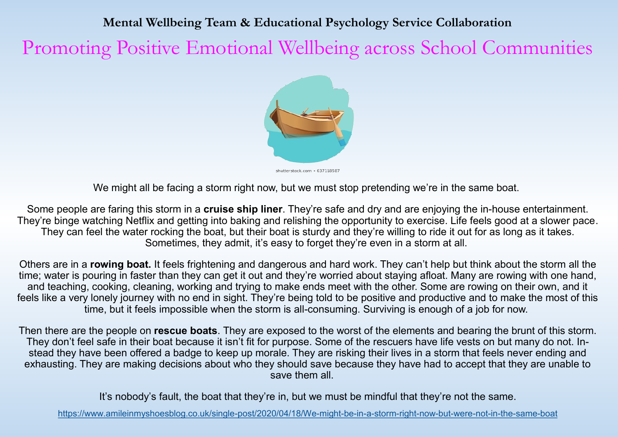#### **Mental Wellbeing Team & Educational Psychology Service Collaboration**

Promoting Positive Emotional Wellbeing across School Communities



shutterstock.com · 637118587

We might all be facing a storm right now, but we must stop pretending we're in the same boat.

Some people are faring this storm in a **cruise ship liner**. They're safe and dry and are enjoying the in-house entertainment. They're binge watching Netflix and getting into baking and relishing the opportunity to exercise. Life feels good at a slower pace. They can feel the water rocking the boat, but their boat is sturdy and they're willing to ride it out for as long as it takes. Sometimes, they admit, it's easy to forget they're even in a storm at all.

Others are in a **rowing boat.** It feels frightening and dangerous and hard work. They can't help but think about the storm all the time; water is pouring in faster than they can get it out and they're worried about staying afloat. Many are rowing with one hand, and teaching, cooking, cleaning, working and trying to make ends meet with the other. Some are rowing on their own, and it feels like a very lonely journey with no end in sight. They're being told to be positive and productive and to make the most of this time, but it feels impossible when the storm is all-consuming. Surviving is enough of a job for now.

Then there are the people on **rescue boats**. They are exposed to the worst of the elements and bearing the brunt of this storm. They don't feel safe in their boat because it isn't fit for purpose. Some of the rescuers have life vests on but many do not. Instead they have been offered a badge to keep up morale. They are risking their lives in a storm that feels never ending and exhausting. They are making decisions about who they should save because they have had to accept that they are unable to save them all.

It's nobody's fault, the boat that they're in, but we must be mindful that they're not the same.

[https://www.amileinmyshoesblog.co.uk/single](https://www.amileinmyshoesblog.co.uk/single-post/2020/04/18/We-might-be-in-a-storm-right-now-but-were-not-in-the-same-boat)-post/2020/04/18/We-might-be-in-a-storm-right-now-but-were-not-in-the-same-boat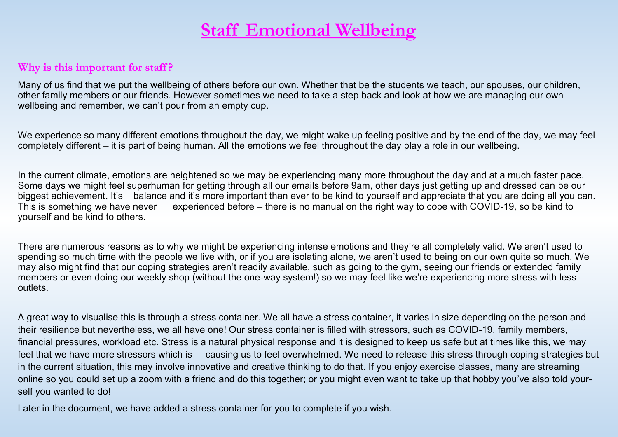### **Staff Emotional Wellbeing**

#### **Why is this important for staff ?**

Many of us find that we put the wellbeing of others before our own. Whether that be the students we teach, our spouses, our children, other family members or our friends. However sometimes we need to take a step back and look at how we are managing our own wellbeing and remember, we can't pour from an empty cup.

We experience so many different emotions throughout the day, we might wake up feeling positive and by the end of the day, we may feel completely different – it is part of being human. All the emotions we feel throughout the day play a role in our wellbeing.

In the current climate, emotions are heightened so we may be experiencing many more throughout the day and at a much faster pace. Some days we might feel superhuman for getting through all our emails before 9am, other days just getting up and dressed can be our biggest achievement. It's balance and it's more important than ever to be kind to yourself and appreciate that you are doing all you can.<br>This is something we have never experienced before – there is no manual on the right experienced before – there is no manual on the right way to cope with COVID-19, so be kind to yourself and be kind to others.

There are numerous reasons as to why we might be experiencing intense emotions and they're all completely valid. We aren't used to spending so much time with the people we live with, or if you are isolating alone, we aren't used to being on our own quite so much. We may also might find that our coping strategies aren't readily available, such as going to the gym, seeing our friends or extended family members or even doing our weekly shop (without the one-way system!) so we may feel like we're experiencing more stress with less outlets.

A great way to visualise this is through a stress container. We all have a stress container, it varies in size depending on the person and their resilience but nevertheless, we all have one! Our stress container is filled with stressors, such as COVID-19, family members, financial pressures, workload etc. Stress is a natural physical response and it is designed to keep us safe but at times like this, we may feel that we have more stressors which is causing us to feel overwhelmed. We need to release this stress through coping strategies but in the current situation, this may involve innovative and creative thinking to do that. If you enjoy exercise classes, many are streaming online so you could set up a zoom with a friend and do this together; or you might even want to take up that hobby you've also told yourself you wanted to do!

Later in the document, we have added a stress container for you to complete if you wish.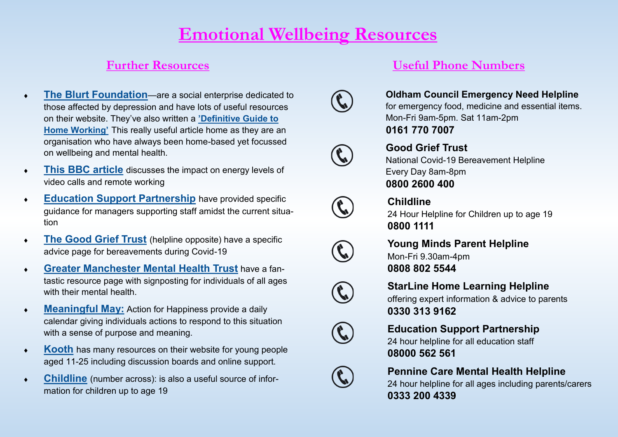### **Emotional Wellbeing Resources**

- **[The Blurt Foundation](https://www.blurtitout.org/2020/03/18/remote-working-definitive-guide/)**—are a social enterprise dedicated to those affected by depression and have lots of useful resources on their website. They've also written a **'[Definitive Guide to](https://www.blurtitout.org/2020/03/18/remote-working-definitive-guide/)  [Home Working](https://www.blurtitout.org/2020/03/18/remote-working-definitive-guide/)'** This really useful article home as they are an organisation who have always been home-based yet focussed on wellbeing and mental health.
- **[This BBC article](https://www.bbc.com/worklife/article/20200421-why-zoom-video-chats-are-so-exhausting)** discusses the impact on energy levels of video calls and remote working
- **[Education Support Partnership](https://www.educationsupport.org.uk/blogs/how-managers-can-support-staff-amidst-crisis)** have provided specific guidance for managers supporting staff amidst the current situation
- **[The Good Grief Trust](https://www.thegoodgrieftrust.org/need-know-info/coronavirus-bereavement-advice/)** (helpline opposite) have a specific advice page for bereavements during Covid-19
- **[Greater Manchester Mental Health Trust](https://www.gmmh.nhs.uk/coronavirus-support)** have a fantastic resource page with signposting for individuals of all ages with their mental health.
- **[Meaningful May:](https://www.actionforhappiness.org/meaningful-may)** Action for Happiness provide a daily calendar giving individuals actions to respond to this situation with a sense of purpose and meaning.
- **[Kooth](https://www.kooth.com/)** has many resources on their website for young people aged 11-25 including discussion boards and online support.
- **[Childline](https://www.childline.org.uk/)** (number across): is also a useful source of information for children up to age 19

#### **Further Resources Useful Phone Numbers**



**Oldham Council Emergency Need Helpline** for emergency food, medicine and essential items. Mon-Fri 9am-5pm. Sat 11am-2pm **0161 770 7007**



#### **Good Grief Trust**

National Covid-19 Bereavement Helpline Every Day 8am-8pm **0800 2600 400**



#### **Childline**

24 Hour Helpline for Children up to age 19 **0800 1111**



**Young Minds Parent Helpline** Mon-Fri 9.30am-4pm **0808 802 5544**



#### **StarLine Home Learning Helpline**

offering expert information & advice to parents **0330 313 9162**



#### **Education Support Partnership**

24 hour helpline for all education staff **08000 562 561**



#### **Pennine Care Mental Health Helpline**

24 hour helpline for all ages including parents/carers **0333 200 4339**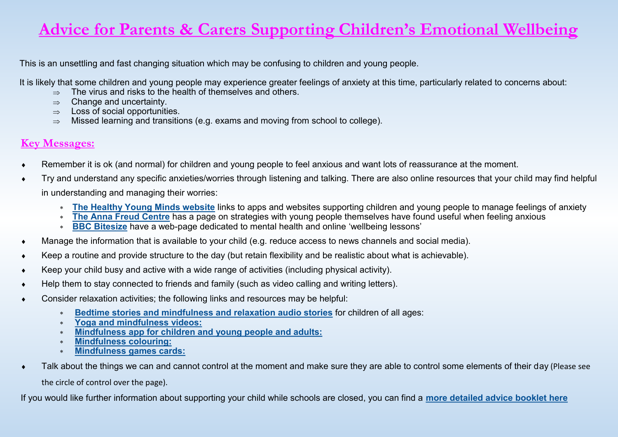### **Advice for Parents & Carers Supporting Children's Emotional Wellbeing**

This is an unsettling and fast changing situation which may be confusing to children and young people.

It is likely that some children and young people may experience greater feelings of anxiety at this time, particularly related to concerns about:

- $\Rightarrow$  The virus and risks to the health of themselves and others.
- $\Rightarrow$  Change and uncertainty.
- $\Rightarrow$  Loss of social opportunities.
- $\Rightarrow$  Missed learning and transitions (e.g. exams and moving from school to college).

#### **Key Messages:**

- Remember it is ok (and normal) for children and young people to feel anxious and want lots of reassurance at the moment.
- Try and understand any specific anxieties/worries through listening and talking. There are also online resources that your child may find helpful in understanding and managing their worries:
	- **[The Healthy Young Minds website](https://healthyyoungmindspennine.nhs.uk/resource-centre/apps/)** links to apps and websites supporting children and young people to manage feelings of anxiety
	- **[The Anna Freud Centre](https://www.annafreud.org/on-my-mind/self-care/)** has a page on strategies with young people themselves have found useful when feeling anxious
	- **[BBC Bitesize](https://www.bbc.co.uk/bitesize/tags/z7qg6v4/mental-health/1)** have a web-page dedicated to mental health and online 'wellbeing lessons'
- Manage the information that is available to your child (e.g. reduce access to news channels and social media).
- Keep a routine and provide structure to the day (but retain flexibility and be realistic about what is achievable).
- Keep your child busy and active with a wide range of activities (including physical activity).
- Help them to stay connected to friends and family (such as video calling and writing letters).
- Consider relaxation activities; the following links and resources may be helpful:
	- **[Bedtime stories and mindfulness and relaxation audio stories](https://bedtime.fm/peaceout)** for children of all ages:
	- **[Yoga and mindfulness videos:](https://www.youtube.com/user/CosmicKidsYoga)**
	- **[Mindfulness app for children and young people and adults:](http://www.smilingmind.com.au/smiling-mind-app)**
	- **[Mindfulness colouring:](http://www.diaryofajournalplanner.com/free-mindfulness-colouring-sheets/)**
	- **[Mindfulness games cards:](http://www.unm.edu/~unmvclib/gamification/cards/mindfulgamescards.pdf)**
- Talk about the things we can and cannot control at the moment and make sure they are able to control some elements of their day (Please see

the circle of control over the page).

If you would like further information about supporting your child while schools are closed, you can find a **[more detailed advice booklet here](https://www.oldham.gov.uk/downloads/file/6157/supporting_children_and_young_people_during_the_covid19_pandemic_-_advice_for_parents_and_carers)**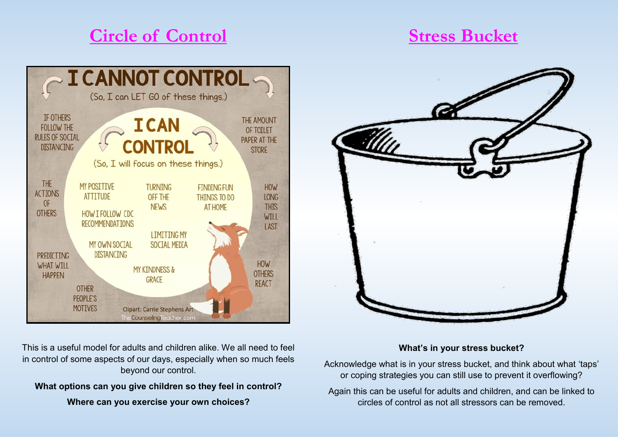## **Circle of Control**

### **Stress Bucket**





#### **What's in your stress bucket?**

Acknowledge what is in your stress bucket, and think about what 'taps' or coping strategies you can still use to prevent it overflowing?

Again this can be useful for adults and children, and can be linked to circles of control as not all stressors can be removed.

This is a useful model for adults and children alike. We all need to feel in control of some aspects of our days, especially when so much feels beyond our control.

### **What options can you give children so they feel in control?**

**Where can you exercise your own choices?**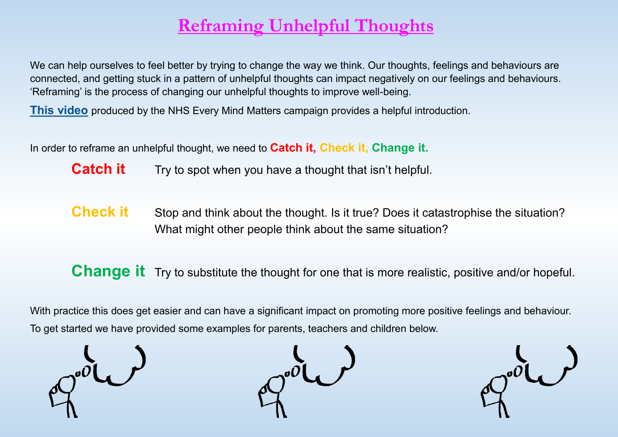# **Reframing Unhelpful Thoughts**

We can help ourselves to feel better by trying to change the way we think. Our thoughts, feelings and behaviours are connected, and getting stuck in a pattern of unhelpful thoughts can impact negatively on our feelings and behaviours. 'Reframing' is the process of changing our unhelpful thoughts to improve well-being.

**[This video](https://www.youtube.com/watch?v=tfkhkFwCtxs&feature=youtu.be)** produced by the NHS Every Mind Matters campaign provides a helpful introduction.

In order to reframe an unhelpful thought, we need to **Catch it, Check it, Change it.**

**Catch it** Try to spot when you have a thought that isn't helpful.

**Check it** Stop and think about the thought. Is it true? Does it catastrophise the situation? What might other people think about the same situation?

**Change it** Try to substitute the thought for one that is more realistic, positive and/or hopeful.

With practice this does get easier and can have a significant impact on promoting more positive feelings and behaviour. To get started we have provided some examples for parents, teachers and children below.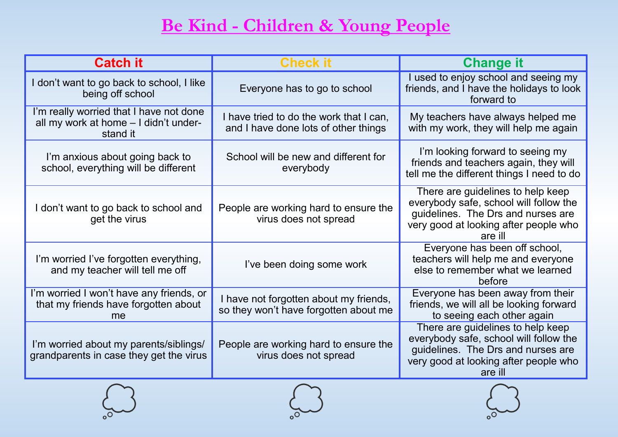# **Be Kind - Children & Young People**

| <b>Catch it</b>                                                                              | <b>Check it</b>                                                                 | <b>Change it</b>                                                                                                                                                      |
|----------------------------------------------------------------------------------------------|---------------------------------------------------------------------------------|-----------------------------------------------------------------------------------------------------------------------------------------------------------------------|
| don't want to go back to school, I like<br>being off school                                  | Everyone has to go to school                                                    | used to enjoy school and seeing my<br>friends, and I have the holidays to look<br>forward to                                                                          |
| I'm really worried that I have not done<br>all my work at home - I didn't under-<br>stand it | I have tried to do the work that I can,<br>and I have done lots of other things | My teachers have always helped me<br>with my work, they will help me again                                                                                            |
| I'm anxious about going back to<br>school, everything will be different                      | School will be new and different for<br>everybody                               | I'm looking forward to seeing my<br>friends and teachers again, they will<br>tell me the different things I need to do                                                |
| I don't want to go back to school and<br>get the virus                                       | People are working hard to ensure the<br>virus does not spread                  | There are guidelines to help keep<br>everybody safe, school will follow the<br>guidelines. The Drs and nurses are<br>very good at looking after people who<br>are ill |
| I'm worried I've forgotten everything,<br>and my teacher will tell me off                    | I've been doing some work                                                       | Everyone has been off school,<br>teachers will help me and everyone<br>else to remember what we learned<br>before                                                     |
| I'm worried I won't have any friends, or<br>that my friends have forgotten about<br>me       | I have not forgotten about my friends,<br>so they won't have forgotten about me | Everyone has been away from their<br>friends, we will all be looking forward<br>to seeing each other again                                                            |
| I'm worried about my parents/siblings/<br>grandparents in case they get the virus            | People are working hard to ensure the<br>virus does not spread                  | There are guidelines to help keep<br>everybody safe, school will follow the<br>guidelines. The Drs and nurses are<br>very good at looking after people who<br>are ill |





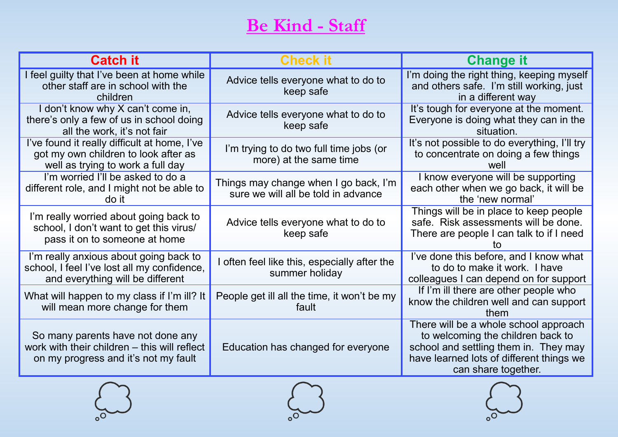# **Be Kind - Staff**

| <b>Catch it</b>                                                                                                           | <b>Check if</b>                                                              | <b>Change it</b>                                                                                                                                                                       |
|---------------------------------------------------------------------------------------------------------------------------|------------------------------------------------------------------------------|----------------------------------------------------------------------------------------------------------------------------------------------------------------------------------------|
| I feel guilty that I've been at home while<br>other staff are in school with the<br>children                              | Advice tells everyone what to do to<br>keep safe                             | I'm doing the right thing, keeping myself<br>and others safe. I'm still working, just<br>in a different way                                                                            |
| I don't know why X can't come in,<br>there's only a few of us in school doing<br>all the work, it's not fair              | Advice tells everyone what to do to<br>keep safe                             | It's tough for everyone at the moment.<br>Everyone is doing what they can in the<br>situation.                                                                                         |
| I've found it really difficult at home, I've<br>got my own children to look after as<br>well as trying to work a full day | I'm trying to do two full time jobs (or<br>more) at the same time            | It's not possible to do everything, I'll try<br>to concentrate on doing a few things<br>well                                                                                           |
| I'm worried I'll be asked to do a<br>different role, and I might not be able to<br>do it                                  | Things may change when I go back, I'm<br>sure we will all be told in advance | I know everyone will be supporting<br>each other when we go back, it will be<br>the 'new normal'                                                                                       |
| I'm really worried about going back to<br>school, I don't want to get this virus/<br>pass it on to someone at home        | Advice tells everyone what to do to<br>keep safe                             | Things will be in place to keep people<br>safe. Risk assessments will be done.<br>There are people I can talk to if I need<br>īΩ                                                       |
| I'm really anxious about going back to<br>school, I feel I've lost all my confidence,<br>and everything will be different | often feel like this, especially after the<br>summer holiday                 | I've done this before, and I know what<br>to do to make it work. I have<br>colleagues I can depend on for support                                                                      |
| What will happen to my class if I'm ill? It<br>will mean more change for them                                             | People get ill all the time, it won't be my<br>fault                         | If I'm ill there are other people who<br>know the children well and can support<br>them                                                                                                |
| So many parents have not done any<br>work with their children – this will reflect<br>on my progress and it's not my fault | Education has changed for everyone                                           | There will be a whole school approach<br>to welcoming the children back to<br>school and settling them in. They may<br>have learned lots of different things we<br>can share together. |





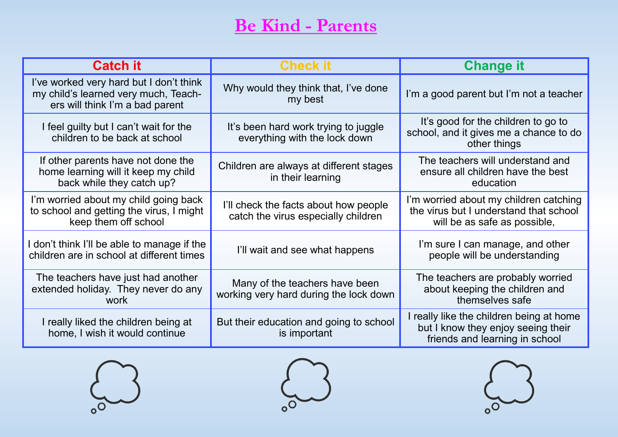# **Be Kind - Parents**

| <b>Catch it</b>                                                                                                    | <b>Check it</b>                                                              | <b>Change it</b>                                                                                                 |
|--------------------------------------------------------------------------------------------------------------------|------------------------------------------------------------------------------|------------------------------------------------------------------------------------------------------------------|
| I've worked very hard but I don't think<br>my child's learned very much, Teach-<br>ers will think I'm a bad parent | Why would they think that, I've done<br>my best                              | I'm a good parent but I'm not a teacher                                                                          |
| I feel guilty but I can't wait for the<br>children to be back at school                                            | It's been hard work trying to juggle<br>everything with the lock down        | It's good for the children to go to<br>school, and it gives me a chance to do<br>other things                    |
| If other parents have not done the<br>home learning will it keep my child<br>back while they catch up?             | Children are always at different stages<br>in their learning                 | The teachers will understand and<br>ensure all children have the best<br>education                               |
| I'm worried about my child going back<br>to school and getting the virus, I might<br>keep them off school          | I'll check the facts about how people<br>catch the virus especially children | I'm worried about my children catching<br>the virus but I understand that school<br>will be as safe as possible, |
| don't think I'll be able to manage if the<br>children are in school at different times                             | I'll wait and see what happens                                               | I'm sure I can manage, and other<br>people will be understanding                                                 |
| The teachers have just had another<br>extended holiday. They never do any<br>work                                  | Many of the teachers have been<br>working very hard during the lock down     | The teachers are probably worried<br>about keeping the children and<br>themselves safe                           |
| I really liked the children being at<br>home, I wish it would continue                                             | But their education and going to school<br>is important                      | I really like the children being at home<br>but I know they enjoy seeing their<br>friends and learning in school |